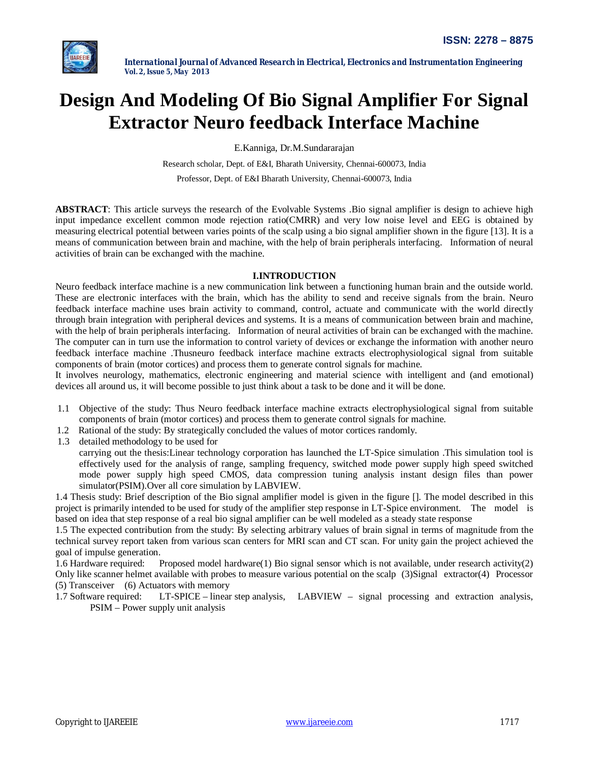

# **Design And Modeling Of Bio Signal Amplifier For Signal Extractor Neuro feedback Interface Machine**

E.Kanniga, Dr.M.Sundararajan

Research scholar, Dept. of E&I, Bharath University, Chennai-600073, India

Professor, Dept. of E&I Bharath University, Chennai-600073, India

**ABSTRACT**: This article surveys the research of the Evolvable Systems .Bio signal amplifier is design to achieve high input impedance excellent common mode rejection ratio(CMRR) and very low noise level and EEG is obtained by measuring electrical potential between varies points of the scalp using a bio signal amplifier shown in the figure [13]. It is a means of communication between brain and machine, with the help of brain peripherals interfacing. Information of neural activities of brain can be exchanged with the machine.

# **I.INTRODUCTION**

Neuro feedback interface machine is a new communication link between a functioning human brain and the outside world. These are electronic interfaces with the brain, which has the ability to send and receive signals from the brain. Neuro feedback interface machine uses brain activity to command, control, actuate and communicate with the world directly through brain integration with peripheral devices and systems*.* It is a means of communication between brain and machine, with the help of brain peripherals interfacing. Information of neural activities of brain can be exchanged with the machine. The computer can in turn use the information to control variety of devices or exchange the information with another neuro feedback interface machine .Thusneuro feedback interface machine extracts electrophysiological signal from suitable components of brain (motor cortices) and process them to generate control signals for machine.

It involves neurology, mathematics, electronic engineering and material science with intelligent and (and emotional) devices all around us, it will become possible to just think about a task to be done and it will be done.

- 1.1 Objective of the study: Thus Neuro feedback interface machine extracts electrophysiological signal from suitable components of brain (motor cortices) and process them to generate control signals for machine.
- 1.2 Rational of the study: By strategically concluded the values of motor cortices randomly.
- 1.3 detailed methodology to be used for

carrying out the thesis:Linear technology corporation has launched the LT-Spice simulation .This simulation tool is effectively used for the analysis of range, sampling frequency, switched mode power supply high speed switched mode power supply high speed CMOS, data compression tuning analysis instant design files than power simulator(PSIM).Over all core simulation by LABVIEW.

1.4 Thesis study: Brief description of the Bio signal amplifier model is given in the figure []. The model described in this project is primarily intended to be used for study of the amplifier step response in LT-Spice environment. The model is based on idea that step response of a real bio signal amplifier can be well modeled as a steady state response

1.5 The expected contribution from the study: By selecting arbitrary values of brain signal in terms of magnitude from the technical survey report taken from various scan centers for MRI scan and CT scan. For unity gain the project achieved the goal of impulse generation.

1.6 Hardware required: Proposed model hardware(1) Bio signal sensor which is not available, under research activity(2) Only like scanner helmet available with probes to measure various potential on the scalp (3)Signal extractor(4) Processor (5) Transceiver (6) Actuators with memory

1.7 Software required: LT-SPICE – linear step analysis, LABVIEW – signal processing and extraction analysis, PSIM – Power supply unit analysis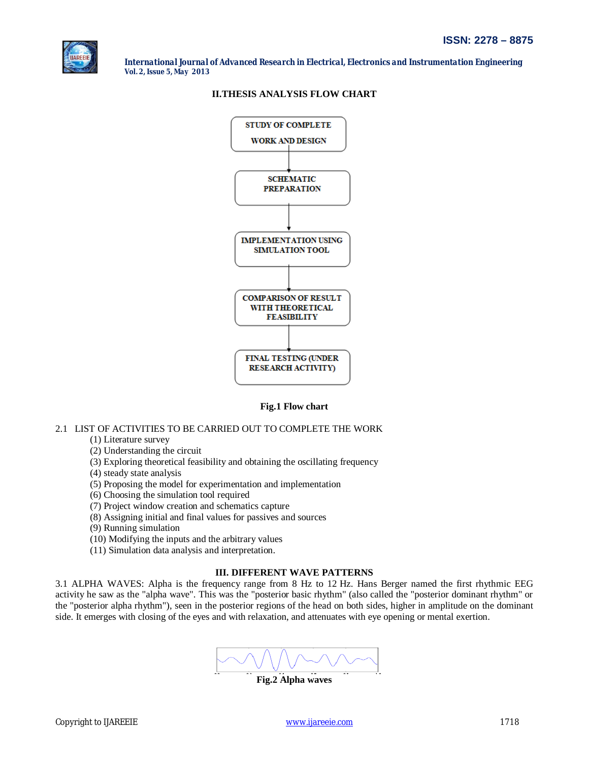

# **II.THESIS ANALYSIS FLOW CHART**



**Fig.1 Flow chart**

# 2.1 LIST OF ACTIVITIES TO BE CARRIED OUT TO COMPLETE THE WORK

## (1) Literature survey

- (2) Understanding the circuit
- (3) Exploring theoretical feasibility and obtaining the oscillating frequency
- (4) steady state analysis
- (5) Proposing the model for experimentation and implementation
- (6) Choosing the simulation tool required
- (7) Project window creation and schematics capture
- (8) Assigning initial and final values for passives and sources
- (9) Running simulation
- (10) Modifying the inputs and the arbitrary values
- (11) Simulation data analysis and interpretation.

## **III. DIFFERENT WAVE PATTERNS**

3.1 ALPHA WAVES: Alpha is the frequency range from 8 Hz to 12 Hz. Hans Berger named the first rhythmic EEG activity he saw as the "alpha wave". This was the "posterior basic rhythm" (also called the "posterior dominant rhythm" or the "posterior alpha rhythm"), seen in the posterior regions of the head on both sides, higher in amplitude on the dominant side. It emerges with closing of the eyes and with relaxation, and attenuates with eye opening or mental exertion.

**Fig.2 Alpha waves**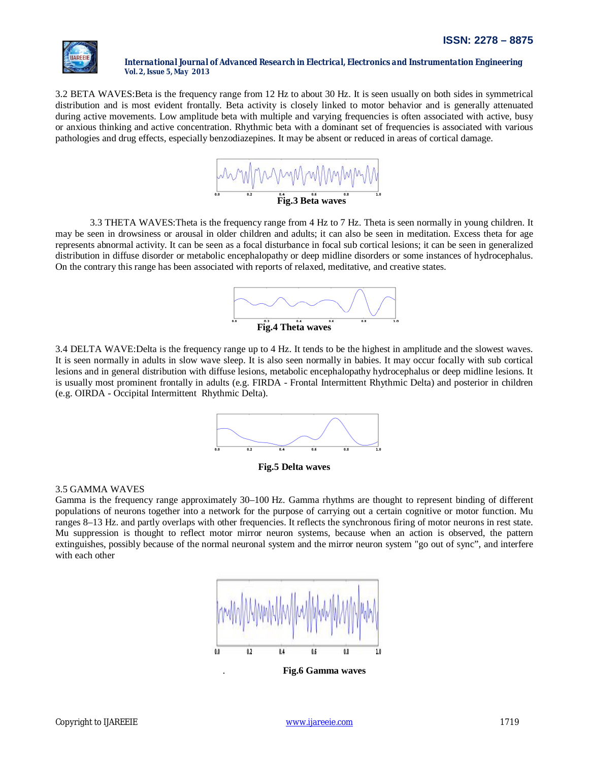

3.2 BETA WAVES:Beta is the frequency range from 12 Hz to about 30 Hz. It is seen usually on both sides in symmetrical distribution and is most evident frontally. Beta activity is closely linked to motor behavior and is generally attenuated during active movements. Low amplitude beta with multiple and varying frequencies is often associated with active, busy or anxious thinking and active concentration. Rhythmic beta with a dominant set of frequencies is associated with various pathologies and drug effects, especially benzodiazepines. It may be absent or reduced in areas of cortical damage.



3.3 THETA WAVES:Theta is the frequency range from 4 Hz to 7 Hz. Theta is seen normally in young children. It may be seen in drowsiness or arousal in older children and adults; it can also be seen in meditation. Excess theta for age represents abnormal activity. It can be seen as a focal disturbance in focal sub cortical lesions; it can be seen in generalized distribution in diffuse disorder or metabolic encephalopathy or deep midline disorders or some instances of hydrocephalus. On the contrary this range has been associated with reports of relaxed, meditative, and creative states.



3.4 DELTA WAVE:Delta is the frequency range up to 4 Hz. It tends to be the highest in amplitude and the slowest waves. It is seen normally in adults in slow wave sleep. It is also seen normally in babies. It may occur focally with sub cortical lesions and in general distribution with diffuse lesions, metabolic encephalopathy hydrocephalus or deep midline lesions. It is usually most prominent frontally in adults (e.g. FIRDA - Frontal Intermittent Rhythmic Delta) and posterior in children (e.g. OIRDA - Occipital Intermittent Rhythmic Delta).





# 3.5 GAMMA WAVES

Gamma is the frequency range approximately 30–100 Hz. Gamma rhythms are thought to represent binding of different populations of neurons together into a network for the purpose of carrying out a certain cognitive or motor function. Mu ranges 8–13 Hz. and partly overlaps with other frequencies. It reflects the synchronous firing of motor neurons in rest state. Mu suppression is thought to reflect motor mirror neuron systems, because when an action is observed, the pattern extinguishes, possibly because of the normal neuronal system and the mirror neuron system "go out of sync", and interfere with each other



. **Fig.6 Gamma waves**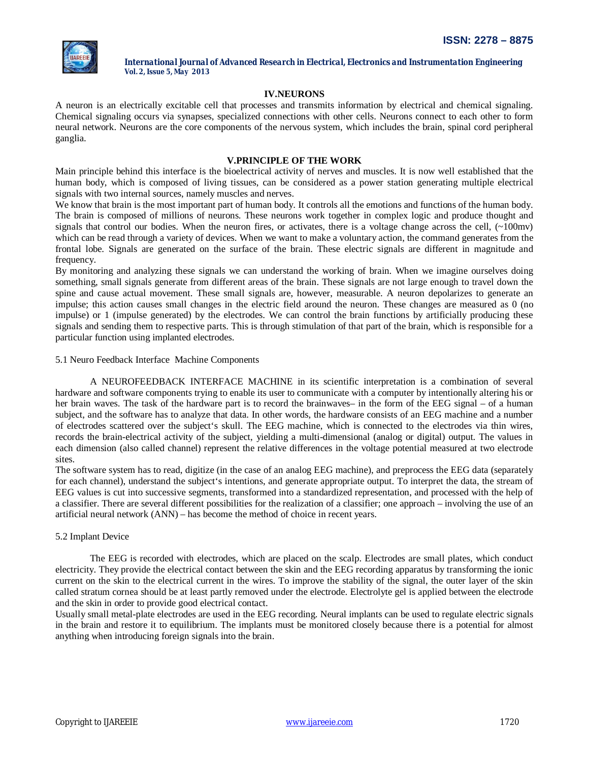

# **IV.NEURONS**

A neuron is an electrically excitable cell that processes and transmits information by electrical and chemical signaling. Chemical signaling occurs via synapses, specialized connections with other cells. Neurons connect to each other to form neural network. Neurons are the core components of the nervous system, which includes the brain, spinal cord peripheral ganglia.

# **V.PRINCIPLE OF THE WORK**

Main principle behind this interface is the bioelectrical activity of nerves and muscles. It is now well established that the human body, which is composed of living tissues, can be considered as a power station generating multiple electrical signals with two internal sources, namely muscles and nerves.

We know that brain is the most important part of human body. It controls all the emotions and functions of the human body. The brain is composed of millions of neurons. These neurons work together in complex logic and produce thought and signals that control our bodies. When the neuron fires, or activates, there is a voltage change across the cell,  $(\sim 100 \text{mv})$ which can be read through a variety of devices. When we want to make a voluntary action, the command generates from the frontal lobe. Signals are generated on the surface of the brain. These electric signals are different in magnitude and frequency.

By monitoring and analyzing these signals we can understand the working of brain. When we imagine ourselves doing something, small signals generate from different areas of the brain. These signals are not large enough to travel down the spine and cause actual movement. These small signals are, however, measurable. A neuron depolarizes to generate an impulse; this action causes small changes in the electric field around the neuron. These changes are measured as 0 (no impulse) or 1 (impulse generated) by the electrodes. We can control the brain functions by artificially producing these signals and sending them to respective parts. This is through stimulation of that part of the brain, which is responsible for a particular function using implanted electrodes.

### 5.1 Neuro Feedback Interface Machine Components

A NEUROFEEDBACK INTERFACE MACHINE in its scientific interpretation is a combination of several hardware and software components trying to enable its user to communicate with a computer by intentionally altering his or her brain waves. The task of the hardware part is to record the brainwaves– in the form of the EEG signal – of a human subject, and the software has to analyze that data. In other words, the hardware consists of an EEG machine and a number of electrodes scattered over the subject's skull. The EEG machine, which is connected to the electrodes via thin wires, records the brain-electrical activity of the subject, yielding a multi-dimensional (analog or digital) output. The values in each dimension (also called channel) represent the relative differences in the voltage potential measured at two electrode sites.

The software system has to read, digitize (in the case of an analog EEG machine), and preprocess the EEG data (separately for each channel), understand the subject's intentions, and generate appropriate output. To interpret the data, the stream of EEG values is cut into successive segments, transformed into a standardized representation, and processed with the help of a classifier. There are several different possibilities for the realization of a classifier; one approach – involving the use of an artificial neural network (ANN) – has become the method of choice in recent years.

# 5.2 Implant Device

The EEG is recorded with electrodes, which are placed on the scalp. Electrodes are small plates, which conduct electricity. They provide the electrical contact between the skin and the EEG recording apparatus by transforming the ionic current on the skin to the electrical current in the wires. To improve the stability of the signal, the outer layer of the skin called stratum cornea should be at least partly removed under the electrode. Electrolyte gel is applied between the electrode and the skin in order to provide good electrical contact.

Usually small metal-plate electrodes are used in the EEG recording. Neural implants can be used to regulate electric signals in the brain and restore it to equilibrium. The implants must be monitored closely because there is a potential for almost anything when introducing foreign signals into the brain.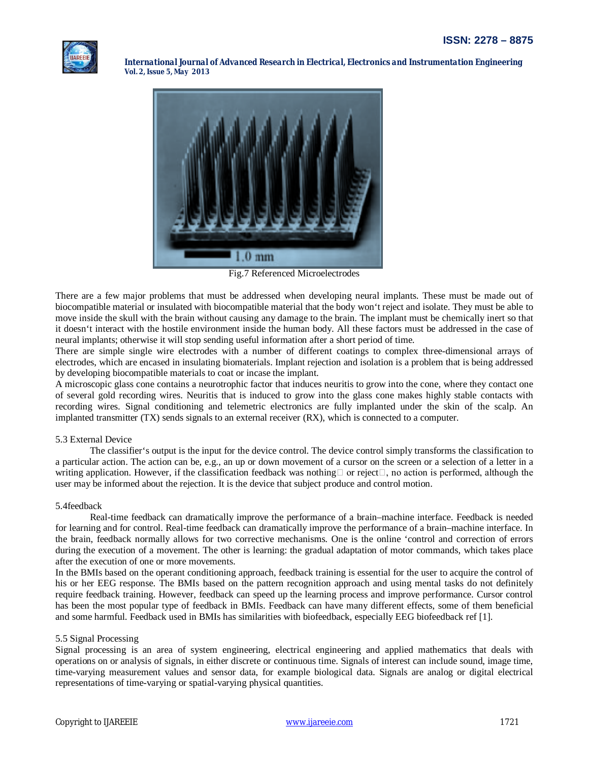



Fig.7 Referenced Microelectrodes

There are a few major problems that must be addressed when developing neural implants. These must be made out of biocompatible material or insulated with biocompatible material that the body won't reject and isolate. They must be able to move inside the skull with the brain without causing any damage to the brain. The implant must be chemically inert so that it doesn't interact with the hostile environment inside the human body. All these factors must be addressed in the case of neural implants; otherwise it will stop sending useful information after a short period of time.

There are simple single wire electrodes with a number of different coatings to complex three-dimensional arrays of electrodes, which are encased in insulating biomaterials. Implant rejection and isolation is a problem that is being addressed by developing biocompatible materials to coat or incase the implant.

A microscopic glass cone contains a neurotrophic factor that induces neuritis to grow into the cone, where they contact one of several gold recording wires. Neuritis that is induced to grow into the glass cone makes highly stable contacts with recording wires. Signal conditioning and telemetric electronics are fully implanted under the skin of the scalp. An implanted transmitter (TX) sends signals to an external receiver (RX), which is connected to a computer.

## 5.3 External Device

The classifier's output is the input for the device control. The device control simply transforms the classification to a particular action. The action can be, e.g., an up or down movement of a cursor on the screen or a selection of a letter in a writing application. However, if the classification feedback was nothing  $\Box$  or reject $\Box$ , no action is performed, although the user may be informed about the rejection. It is the device that subject produce and control motion.

### 5.4feedback

Real-time feedback can dramatically improve the performance of a brain–machine interface. Feedback is needed for learning and for control. Real-time feedback can dramatically improve the performance of a brain–machine interface. In the brain, feedback normally allows for two corrective mechanisms. One is the online 'control and correction of errors during the execution of a movement. The other is learning: the gradual adaptation of motor commands, which takes place after the execution of one or more movements.

In the BMIs based on the operant conditioning approach, feedback training is essential for the user to acquire the control of his or her EEG response. The BMIs based on the pattern recognition approach and using mental tasks do not definitely require feedback training. However, feedback can speed up the learning process and improve performance. Cursor control has been the most popular type of feedback in BMIs. Feedback can have many different effects, some of them beneficial and some harmful. Feedback used in BMIs has similarities with biofeedback, especially EEG biofeedback ref [1].

### 5.5 Signal Processing

Signal processing is an area of system engineering, electrical engineering and applied mathematics that deals with operations on or analysis of signals, in either discrete or continuous time. Signals of interest can include sound, image time, time-varying measurement values and sensor data, for example biological data. Signals are analog or digital electrical representations of time-varying or spatial-varying physical quantities.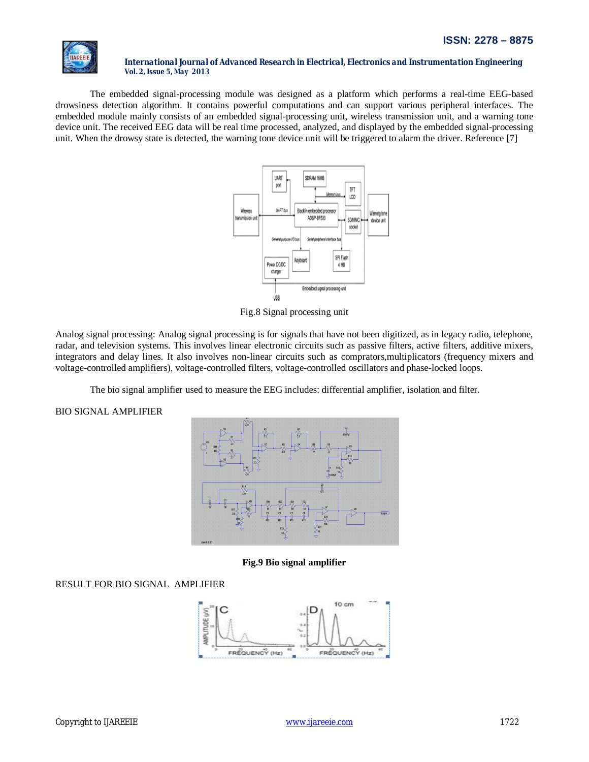

The embedded signal-processing module was designed as a platform which performs a real-time EEG-based drowsiness detection algorithm. It contains powerful computations and can support various peripheral interfaces. The embedded module mainly consists of an embedded signal-processing unit, wireless transmission unit, and a warning tone device unit. The received EEG data will be real time processed, analyzed, and displayed by the embedded signal-processing unit. When the drowsy state is detected, the warning tone device unit will be triggered to alarm the driver. Reference [7]



Fig.8 Signal processing unit

Analog signal processing: Analog signal processing is for signals that have not been digitized, as in legacy radio, telephone, radar, and television systems. This involves linear electronic circuits such as passive filters, active filters, additive mixers, integrators and delay lines. It also involves non-linear circuits such as comprators,multiplicators (frequency mixers and voltage-controlled amplifiers), voltage-controlled filters, voltage-controlled oscillators and phase-locked loops.

The bio signal amplifier used to measure the EEG includes: differential amplifier, isolation and filter.

BIO SIGNAL AMPLIFIER



**Fig.9 Bio signal amplifier**

RESULT FOR BIO SIGNAL AMPLIFIER

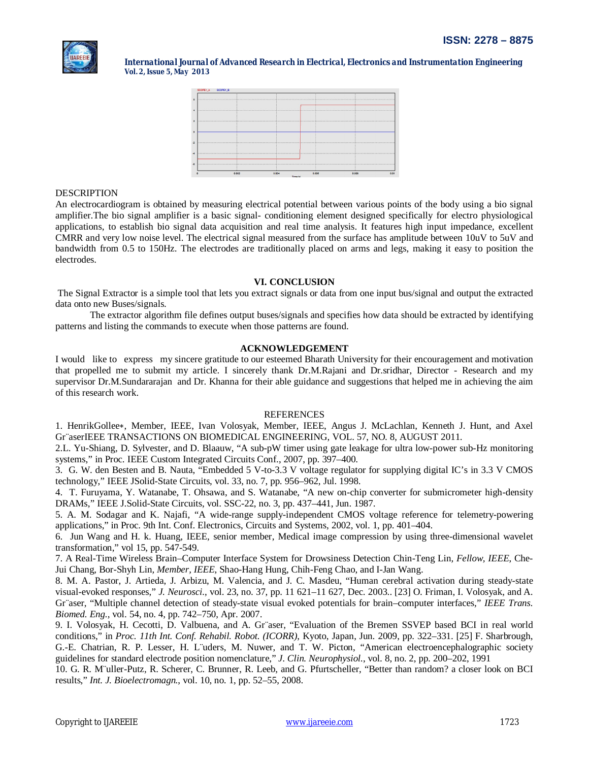|  | <b>AREEIE</b> |  |
|--|---------------|--|
|  |               |  |



# **DESCRIPTION**

An electrocardiogram is obtained by measuring electrical potential between various points of the body using a bio signal amplifier.The bio signal amplifier is a basic signal- conditioning element designed specifically for electro physiological applications, to establish bio signal data acquisition and real time analysis. It features high input impedance, excellent CMRR and very low noise level. The electrical signal measured from the surface has amplitude between 10uV to 5uV and bandwidth from 0.5 to 150Hz. The electrodes are traditionally placed on arms and legs, making it easy to position the electrodes.

# **VI. CONCLUSION**

The Signal Extractor is a simple tool that lets you extract signals or data from one input bus/signal and output the extracted data onto new Buses/signals.

The extractor algorithm file defines output buses/signals and specifies how data should be extracted by identifying patterns and listing the commands to execute when those patterns are found.

## **ACKNOWLEDGEMENT**

I would like to express my sincere gratitude to our esteemed Bharath University for their encouragement and motivation that propelled me to submit my article. I sincerely thank Dr.M.Rajani and Dr.sridhar, Director - Research and my supervisor Dr.M.Sundararajan and Dr. Khanna for their able guidance and suggestions that helped me in achieving the aim of this research work.

## **REFERENCES**

1. HenrikGollee∗, Member, IEEE, Ivan Volosyak, Member, IEEE, Angus J. McLachlan, Kenneth J. Hunt, and Axel Gr¨aserIEEE TRANSACTIONS ON BIOMEDICAL ENGINEERING, VOL. 57, NO. 8, AUGUST 2011.

2.L. Yu-Shiang, D. Sylvester, and D. Blaauw, "A sub-pW timer using gate leakage for ultra low-power sub-Hz monitoring systems," in Proc. IEEE Custom Integrated Circuits Conf., 2007, pp. 397–400.

3. G. W. den Besten and B. Nauta, "Embedded 5 V-to-3.3 V voltage regulator for supplying digital IC's in 3.3 V CMOS technology," IEEE JSolid-State Circuits, vol. 33, no. 7, pp. 956–962, Jul. 1998.

4. T. Furuyama, Y. Watanabe, T. Ohsawa, and S. Watanabe, "A new on-chip converter for submicrometer high-density DRAMs," IEEE J.Solid-State Circuits, vol. SSC-22, no. 3, pp. 437–441, Jun. 1987.

5. A. M. Sodagar and K. Najafi, "A wide-range supply-independent CMOS voltage reference for telemetry-powering applications," in Proc. 9th Int. Conf. Electronics, Circuits and Systems, 2002, vol. 1, pp. 401–404.

6. Jun Wang and H. k. Huang, IEEE, senior member, Medical image compression by using three-dimensional wavelet transformation," vol 15, pp. 547-549.

7. A Real-Time Wireless Brain–Computer Interface System for Drowsiness Detection Chin-Teng Lin*, Fellow, IEEE*, Che-Jui Chang, Bor-Shyh Lin*, Member, IEEE*, Shao-Hang Hung, Chih-Feng Chao, and I-Jan Wang.

8. M. A. Pastor, J. Artieda, J. Arbizu, M. Valencia, and J. C. Masdeu, "Human cerebral activation during steady-state visual-evoked responses," *J. Neurosci.*, vol. 23, no. 37, pp. 11 621–11 627, Dec. 2003.. [23] O. Friman, I. Volosyak, and A. Gr¨aser, "Multiple channel detection of steady-state visual evoked potentials for brain–computer interfaces," *IEEE Trans. Biomed. Eng.*, vol. 54, no. 4, pp. 742–750, Apr. 2007.

9. I. Volosyak, H. Cecotti, D. Valbuena, and A. Gr¨aser, "Evaluation of the Bremen SSVEP based BCI in real world conditions," in *Proc. 11th Int. Conf. Rehabil. Robot. (ICORR)*, Kyoto, Japan, Jun. 2009, pp. 322–331. [25] F. Sharbrough, G.-E. Chatrian, R. P. Lesser, H. L¨uders, M. Nuwer, and T. W. Picton, "American electroencephalographic society guidelines for standard electrode position nomenclature," *J. Clin. Neurophysiol.*, vol. 8, no. 2, pp. 200–202, 1991

10. G. R. M¨uller-Putz, R. Scherer, C. Brunner, R. Leeb, and G. Pfurtscheller, "Better than random? a closer look on BCI results," *Int. J. Bioelectromagn.*, vol. 10, no. 1, pp. 52–55, 2008.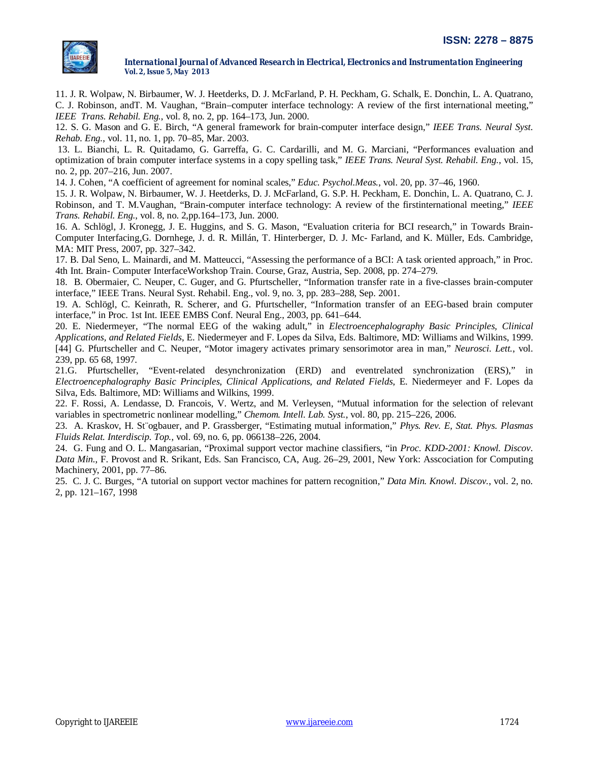

11. J. R. Wolpaw, N. Birbaumer, W. J. Heetderks, D. J. McFarland, P. H. Peckham, G. Schalk, E. Donchin, L. A. Quatrano, C. J. Robinson, andT. M. Vaughan, "Brain–computer interface technology: A review of the first international meeting," *IEEE Trans. Rehabil. Eng.*, vol. 8, no. 2, pp. 164–173, Jun. 2000.

12. S. G. Mason and G. E. Birch, "A general framework for brain-computer interface design," *IEEE Trans. Neural Syst. Rehab. Eng.*, vol. 11, no. 1, pp. 70–85, Mar. 2003.

13. L. Bianchi, L. R. Quitadamo, G. Garreffa, G. C. Cardarilli, and M. G. Marciani, "Performances evaluation and optimization of brain computer interface systems in a copy spelling task," *IEEE Trans. Neural Syst. Rehabil. Eng.*, vol. 15, no. 2, pp. 207–216, Jun. 2007.

14. J. Cohen, "A coefficient of agreement for nominal scales," *Educ. Psychol.Meas.*, vol. 20, pp. 37–46, 1960.

15. J. R. Wolpaw, N. Birbaumer, W. J. Heetderks, D. J. McFarland, G. S.P. H. Peckham, E. Donchin, L. A. Quatrano, C. J. Robinson, and T. M.Vaughan, "Brain-computer interface technology: A review of the firstinternational meeting," *IEEE Trans. Rehabil. Eng.*, vol. 8, no. 2,pp.164–173, Jun. 2000.

16. A. Schlögl, J. Kronegg, J. E. Huggins, and S. G. Mason, "Evaluation criteria for BCI research," in Towards Brain-Computer Interfacing,G. Dornhege, J. d. R. Millán, T. Hinterberger, D. J. Mc- Farland, and K. Müller, Eds. Cambridge, MA: MIT Press, 2007, pp. 327–342.

17. B. Dal Seno, L. Mainardi, and M. Matteucci, "Assessing the performance of a BCI: A task oriented approach," in Proc. 4th Int. Brain- Computer InterfaceWorkshop Train. Course, Graz, Austria, Sep. 2008, pp. 274–279.

18. B. Obermaier, C. Neuper, C. Guger, and G. Pfurtscheller, "Information transfer rate in a five-classes brain-computer interface," IEEE Trans. Neural Syst. Rehabil. Eng., vol. 9, no. 3, pp. 283–288, Sep. 2001.

19. A. Schlögl, C. Keinrath, R. Scherer, and G. Pfurtscheller, "Information transfer of an EEG-based brain computer interface," in Proc. 1st Int. IEEE EMBS Conf. Neural Eng., 2003, pp. 641–644.

20. E. Niedermeyer, "The normal EEG of the waking adult," in *Electroencephalography Basic Principles, Clinical Applications, and Related Fields*, E. Niedermeyer and F. Lopes da Silva, Eds. Baltimore, MD: Williams and Wilkins, 1999. [44] G. Pfurtscheller and C. Neuper, "Motor imagery activates primary sensorimotor area in man," *Neurosci. Lett.*, vol.

239, pp. 65 68, 1997. 21.G. Pfurtscheller, "Event-related desynchronization (ERD) and eventrelated synchronization (ERS)," in

*Electroencephalography Basic Principles, Clinical Applications, and Related Fields*, E. Niedermeyer and F. Lopes da Silva, Eds. Baltimore, MD: Williams and Wilkins, 1999.

22. F. Rossi, A. Lendasse, D. Francois, V. Wertz, and M. Verleysen, "Mutual information for the selection of relevant variables in spectrometric nonlinear modelling," *Chemom. Intell. Lab. Syst.*, vol. 80, pp. 215–226, 2006.

23. A. Kraskov, H. St¨ogbauer, and P. Grassberger, "Estimating mutual information," *Phys. Rev. E, Stat. Phys. Plasmas Fluids Relat. Interdiscip. Top.*, vol. 69, no. 6, pp. 066138–226, 2004.

24. G. Fung and O. L. Mangasarian, "Proximal support vector machine classifiers, "in *Proc. KDD-2001: Knowl. Discov. Data Min.*, F. Provost and R. Srikant, Eds. San Francisco, CA, Aug. 26–29, 2001, New York: Asscociation for Computing Machinery, 2001, pp. 77–86.

25. C. J. C. Burges, "A tutorial on support vector machines for pattern recognition," *Data Min. Knowl. Discov.*, vol. 2, no. 2, pp. 121–167, 1998